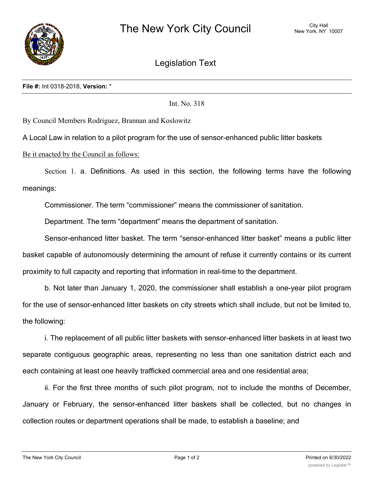

Legislation Text

Int. No. 318

By Council Members Rodriguez, Brannan and Koslowitz

A Local Law in relation to a pilot program for the use of sensor-enhanced public litter baskets

Be it enacted by the Council as follows:

Section 1. a. Definitions. As used in this section, the following terms have the following meanings:

Commissioner. The term "commissioner" means the commissioner of sanitation.

Department. The term "department" means the department of sanitation.

Sensor-enhanced litter basket. The term "sensor-enhanced litter basket" means a public litter basket capable of autonomously determining the amount of refuse it currently contains or its current proximity to full capacity and reporting that information in real-time to the department.

b. Not later than January 1, 2020, the commissioner shall establish a one-year pilot program for the use of sensor-enhanced litter baskets on city streets which shall include, but not be limited to, the following:

i. The replacement of all public litter baskets with sensor-enhanced litter baskets in at least two separate contiguous geographic areas, representing no less than one sanitation district each and each containing at least one heavily trafficked commercial area and one residential area;

ii. For the first three months of such pilot program, not to include the months of December, January or February, the sensor-enhanced litter baskets shall be collected, but no changes in collection routes or department operations shall be made, to establish a baseline; and